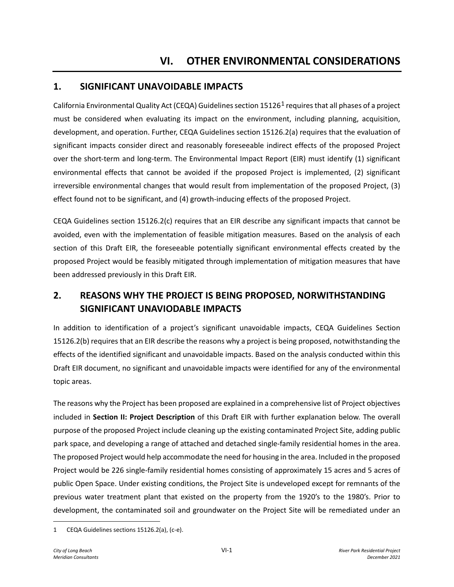# **1. SIGNIFICANT UNAVOIDABLE IMPACTS**

California Environmental Quality Act (CEQA) Guidelines section 15126[1](#page-0-0) requires that all phases of a project must be considered when evaluating its impact on the environment, including planning, acquisition, development, and operation. Further, CEQA Guidelines section 15126.2(a) requires that the evaluation of significant impacts consider direct and reasonably foreseeable indirect effects of the proposed Project over the short-term and long-term. The Environmental Impact Report (EIR) must identify (1) significant environmental effects that cannot be avoided if the proposed Project is implemented, (2) significant irreversible environmental changes that would result from implementation of the proposed Project, (3) effect found not to be significant, and (4) growth-inducing effects of the proposed Project.

CEQA Guidelines section 15126.2(c) requires that an EIR describe any significant impacts that cannot be avoided, even with the implementation of feasible mitigation measures. Based on the analysis of each section of this Draft EIR, the foreseeable potentially significant environmental effects created by the proposed Project would be feasibly mitigated through implementation of mitigation measures that have been addressed previously in this Draft EIR.

# **2. REASONS WHY THE PROJECT IS BEING PROPOSED, NORWITHSTANDING SIGNIFICANT UNAVIODABLE IMPACTS**

In addition to identification of a project's significant unavoidable impacts, CEQA Guidelines Section 15126.2(b) requires that an EIR describe the reasons why a project is being proposed, notwithstanding the effects of the identified significant and unavoidable impacts. Based on the analysis conducted within this Draft EIR document, no significant and unavoidable impacts were identified for any of the environmental topic areas.

The reasons why the Project has been proposed are explained in a comprehensive list of Project objectives included in **Section II: Project Description** of this Draft EIR with further explanation below. The overall purpose of the proposed Project include cleaning up the existing contaminated Project Site, adding public park space, and developing a range of attached and detached single-family residential homes in the area. The proposed Project would help accommodate the need for housing in the area. Included in the proposed Project would be 226 single-family residential homes consisting of approximately 15 acres and 5 acres of public Open Space. Under existing conditions, the Project Site is undeveloped except for remnants of the previous water treatment plant that existed on the property from the 1920's to the 1980's. Prior to development, the contaminated soil and groundwater on the Project Site will be remediated under an

<span id="page-0-0"></span><sup>1</sup> CEQA Guidelines sections 15126.2(a), (c-e).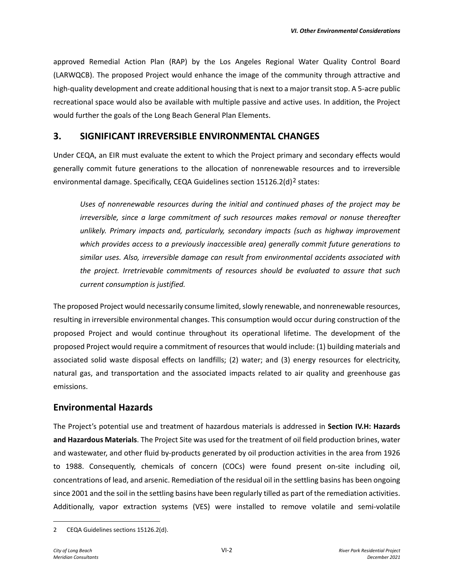approved Remedial Action Plan (RAP) by the Los Angeles Regional Water Quality Control Board (LARWQCB). The proposed Project would enhance the image of the community through attractive and high-quality development and create additional housing that is next to a major transit stop. A 5-acre public recreational space would also be available with multiple passive and active uses. In addition, the Project would further the goals of the Long Beach General Plan Elements.

### **3. SIGNIFICANT IRREVERSIBLE ENVIRONMENTAL CHANGES**

Under CEQA, an EIR must evaluate the extent to which the Project primary and secondary effects would generally commit future generations to the allocation of nonrenewable resources and to irreversible environmental damage. Specifically, CEQA Guidelines section  $15126.2(d)^2$  $15126.2(d)^2$  $15126.2(d)^2$  states:

*Uses of nonrenewable resources during the initial and continued phases of the project may be irreversible, since a large commitment of such resources makes removal or nonuse thereafter unlikely. Primary impacts and, particularly, secondary impacts (such as highway improvement which provides access to a previously inaccessible area) generally commit future generations to similar uses. Also, irreversible damage can result from environmental accidents associated with the project. Irretrievable commitments of resources should be evaluated to assure that such current consumption is justified.* 

The proposed Project would necessarily consume limited, slowly renewable, and nonrenewable resources, resulting in irreversible environmental changes. This consumption would occur during construction of the proposed Project and would continue throughout its operational lifetime. The development of the proposed Project would require a commitment of resources that would include: (1) building materials and associated solid waste disposal effects on landfills; (2) water; and (3) energy resources for electricity, natural gas, and transportation and the associated impacts related to air quality and greenhouse gas emissions.

## **Environmental Hazards**

The Project's potential use and treatment of hazardous materials is addressed in **Section IV.H: Hazards and Hazardous Materials**. The Project Site was used for the treatment of oil field production brines, water and wastewater, and other fluid by-products generated by oil production activities in the area from 1926 to 1988. Consequently, chemicals of concern (COCs) were found present on-site including oil, concentrations of lead, and arsenic. Remediation of the residual oil in the settling basins has been ongoing since 2001 and the soil in the settling basins have been regularly tilled as part of the remediation activities. Additionally, vapor extraction systems (VES) were installed to remove volatile and semi-volatile

<span id="page-1-0"></span><sup>2</sup> CEQA Guidelines sections 15126.2(d).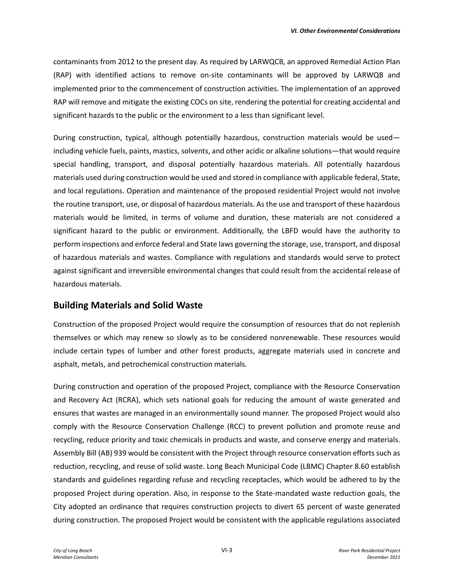contaminants from 2012 to the present day. As required by LARWQCB, an approved Remedial Action Plan (RAP) with identified actions to remove on-site contaminants will be approved by LARWQB and implemented prior to the commencement of construction activities. The implementation of an approved RAP will remove and mitigate the existing COCs on site, rendering the potential for creating accidental and significant hazards to the public or the environment to a less than significant level.

During construction, typical, although potentially hazardous, construction materials would be used including vehicle fuels, paints, mastics, solvents, and other acidic or alkaline solutions—that would require special handling, transport, and disposal potentially hazardous materials. All potentially hazardous materials used during construction would be used and stored in compliance with applicable federal, State, and local regulations. Operation and maintenance of the proposed residential Project would not involve the routine transport, use, or disposal of hazardous materials. As the use and transport of these hazardous materials would be limited, in terms of volume and duration, these materials are not considered a significant hazard to the public or environment. Additionally, the LBFD would have the authority to perform inspections and enforce federal and State laws governing the storage, use, transport, and disposal of hazardous materials and wastes. Compliance with regulations and standards would serve to protect against significant and irreversible environmental changes that could result from the accidental release of hazardous materials.

### **Building Materials and Solid Waste**

Construction of the proposed Project would require the consumption of resources that do not replenish themselves or which may renew so slowly as to be considered nonrenewable. These resources would include certain types of lumber and other forest products, aggregate materials used in concrete and asphalt, metals, and petrochemical construction materials.

During construction and operation of the proposed Project, compliance with the Resource Conservation and Recovery Act (RCRA), which sets national goals for reducing the amount of waste generated and ensures that wastes are managed in an environmentally sound manner. The proposed Project would also comply with the Resource Conservation Challenge (RCC) to prevent pollution and promote reuse and recycling, reduce priority and toxic chemicals in products and waste, and conserve energy and materials. Assembly Bill (AB) 939 would be consistent with the Project through resource conservation efforts such as reduction, recycling, and reuse of solid waste. Long Beach Municipal Code (LBMC) Chapter 8.60 establish standards and guidelines regarding refuse and recycling receptacles, which would be adhered to by the proposed Project during operation. Also, in response to the State-mandated waste reduction goals, the City adopted an ordinance that requires construction projects to divert 65 percent of waste generated during construction. The proposed Project would be consistent with the applicable regulations associated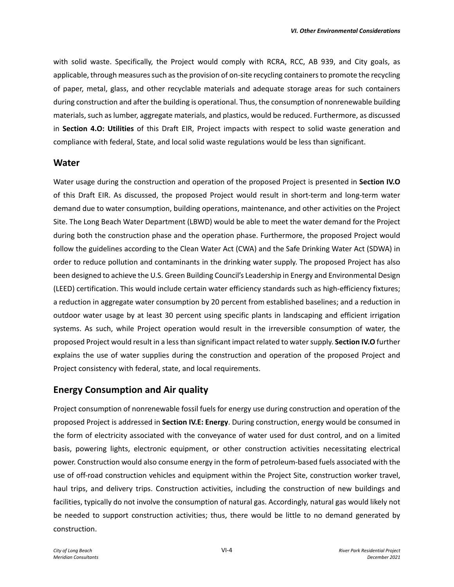with solid waste. Specifically, the Project would comply with RCRA, RCC, AB 939, and City goals, as applicable, through measures such as the provision of on-site recycling containers to promote the recycling of paper, metal, glass, and other recyclable materials and adequate storage areas for such containers during construction and after the building is operational. Thus, the consumption of nonrenewable building materials, such as lumber, aggregate materials, and plastics, would be reduced. Furthermore, as discussed in **Section 4.O: Utilities** of this Draft EIR, Project impacts with respect to solid waste generation and compliance with federal, State, and local solid waste regulations would be less than significant.

### **Water**

Water usage during the construction and operation of the proposed Project is presented in **Section IV.O**  of this Draft EIR. As discussed, the proposed Project would result in short-term and long-term water demand due to water consumption, building operations, maintenance, and other activities on the Project Site. The Long Beach Water Department (LBWD) would be able to meet the water demand for the Project during both the construction phase and the operation phase. Furthermore, the proposed Project would follow the guidelines according to the Clean Water Act (CWA) and the Safe Drinking Water Act (SDWA) in order to reduce pollution and contaminants in the drinking water supply. The proposed Project has also been designed to achieve the U.S. Green Building Council's Leadership in Energy and Environmental Design (LEED) certification. This would include certain water efficiency standards such as high-efficiency fixtures; a reduction in aggregate water consumption by 20 percent from established baselines; and a reduction in outdoor water usage by at least 30 percent using specific plants in landscaping and efficient irrigation systems. As such, while Project operation would result in the irreversible consumption of water, the proposed Project would result in a less than significant impact related to water supply. **Section IV.O** further explains the use of water supplies during the construction and operation of the proposed Project and Project consistency with federal, state, and local requirements.

## **Energy Consumption and Air quality**

Project consumption of nonrenewable fossil fuels for energy use during construction and operation of the proposed Project is addressed in **Section IV.E: Energy**. During construction, energy would be consumed in the form of electricity associated with the conveyance of water used for dust control, and on a limited basis, powering lights, electronic equipment, or other construction activities necessitating electrical power. Construction would also consume energy in the form of petroleum-based fuels associated with the use of off-road construction vehicles and equipment within the Project Site, construction worker travel, haul trips, and delivery trips. Construction activities, including the construction of new buildings and facilities, typically do not involve the consumption of natural gas. Accordingly, natural gas would likely not be needed to support construction activities; thus, there would be little to no demand generated by construction.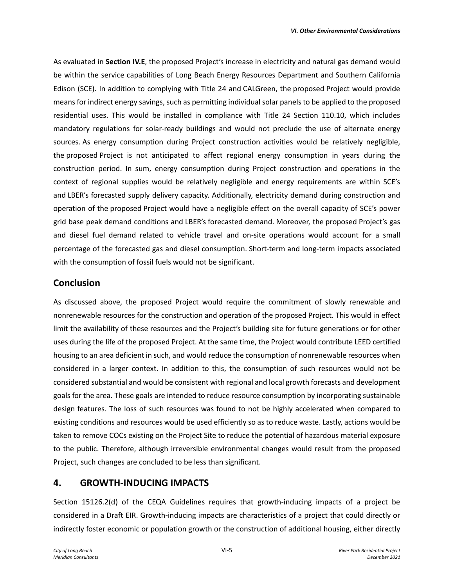As evaluated in **Section IV.E**, the proposed Project's increase in electricity and natural gas demand would be within the service capabilities of Long Beach Energy Resources Department and Southern California Edison (SCE). In addition to complying with Title 24 and CALGreen, the proposed Project would provide means for indirect energy savings, such as permitting individual solar panels to be applied to the proposed residential uses. This would be installed in compliance with Title 24 Section 110.10, which includes mandatory regulations for solar-ready buildings and would not preclude the use of alternate energy sources. As energy consumption during Project construction activities would be relatively negligible, the proposed Project is not anticipated to affect regional energy consumption in years during the construction period. In sum, energy consumption during Project construction and operations in the context of regional supplies would be relatively negligible and energy requirements are within SCE's and LBER's forecasted supply delivery capacity. Additionally, electricity demand during construction and operation of the proposed Project would have a negligible effect on the overall capacity of SCE's power grid base peak demand conditions and LBER's forecasted demand. Moreover, the proposed Project's gas and diesel fuel demand related to vehicle travel and on-site operations would account for a small percentage of the forecasted gas and diesel consumption. Short-term and long-term impacts associated with the consumption of fossil fuels would not be significant.

## **Conclusion**

As discussed above, the proposed Project would require the commitment of slowly renewable and nonrenewable resources for the construction and operation of the proposed Project. This would in effect limit the availability of these resources and the Project's building site for future generations or for other uses during the life of the proposed Project. At the same time, the Project would contribute LEED certified housing to an area deficient in such, and would reduce the consumption of nonrenewable resources when considered in a larger context. In addition to this, the consumption of such resources would not be considered substantial and would be consistent with regional and local growth forecasts and development goals for the area. These goals are intended to reduce resource consumption by incorporating sustainable design features. The loss of such resources was found to not be highly accelerated when compared to existing conditions and resources would be used efficiently so as to reduce waste. Lastly, actions would be taken to remove COCs existing on the Project Site to reduce the potential of hazardous material exposure to the public. Therefore, although irreversible environmental changes would result from the proposed Project, such changes are concluded to be less than significant.

## **4. GROWTH-INDUCING IMPACTS**

Section 15126.2(d) of the CEQA Guidelines requires that growth-inducing impacts of a project be considered in a Draft EIR. Growth-inducing impacts are characteristics of a project that could directly or indirectly foster economic or population growth or the construction of additional housing, either directly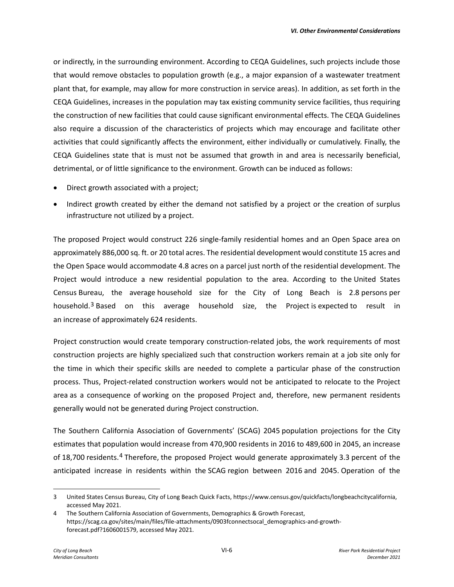or indirectly, in the surrounding environment. According to CEQA Guidelines, such projects include those that would remove obstacles to population growth (e.g., a major expansion of a wastewater treatment plant that, for example, may allow for more construction in service areas). In addition, as set forth in the CEQA Guidelines, increases in the population may tax existing community service facilities, thus requiring the construction of new facilities that could cause significant environmental effects. The CEQA Guidelines also require a discussion of the characteristics of projects which may encourage and facilitate other activities that could significantly affects the environment, either individually or cumulatively. Finally, the CEQA Guidelines state that is must not be assumed that growth in and area is necessarily beneficial, detrimental, or of little significance to the environment. Growth can be induced as follows:

- Direct growth associated with a project;
- Indirect growth created by either the demand not satisfied by a project or the creation of surplus infrastructure not utilized by a project.

The proposed Project would construct 226 single-family residential homes and an Open Space area on approximately 886,000 sq. ft. or 20 total acres. The residential development would constitute 15 acres and the Open Space would accommodate 4.8 acres on a parcel just north of the residential development. The Project would introduce a new residential population to the area. According to the United States Census Bureau, the average household size for the City of Long Beach is 2.8 persons per household.[3](#page-5-0) Based on this average household size, the Project is expected to result in an increase of approximately 624 residents.

Project construction would create temporary construction-related jobs, the work requirements of most construction projects are highly specialized such that construction workers remain at a job site only for the time in which their specific skills are needed to complete a particular phase of the construction process. Thus, Project-related construction workers would not be anticipated to relocate to the Project area as a consequence of working on the proposed Project and, therefore, new permanent residents generally would not be generated during Project construction.

The Southern California Association of Governments' (SCAG) 2045 population projections for the City estimates that population would increase from 470,900 residents in 2016 to 489,600 in 2045, an increase of 18,700 residents.[4](#page-5-1) Therefore, the proposed Project would generate approximately 3.3 percent of the anticipated increase in residents within the SCAG region between 2016 and 2045. Operation of the

<span id="page-5-0"></span><sup>3</sup> United States Census Bureau, City of Long Beach Quick Facts, https://www.census.gov/quickfacts/longbeachcitycalifornia, accessed May 2021.

<span id="page-5-1"></span><sup>4</sup> The Southern California Association of Governments, Demographics & Growth Forecast, https://scag.ca.gov/sites/main/files/file-attachments/0903fconnectsocal\_demographics-and-growthforecast.pdf?1606001579, accessed May 2021.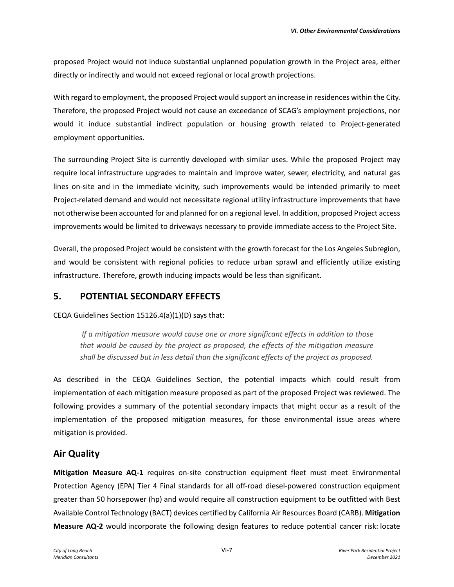proposed Project would not induce substantial unplanned population growth in the Project area, either directly or indirectly and would not exceed regional or local growth projections.

With regard to employment, the proposed Project would support an increase in residences within the City. Therefore, the proposed Project would not cause an exceedance of SCAG's employment projections, nor would it induce substantial indirect population or housing growth related to Project-generated employment opportunities.

The surrounding Project Site is currently developed with similar uses. While the proposed Project may require local infrastructure upgrades to maintain and improve water, sewer, electricity, and natural gas lines on-site and in the immediate vicinity, such improvements would be intended primarily to meet Project-related demand and would not necessitate regional utility infrastructure improvements that have not otherwise been accounted for and planned for on a regional level. In addition, proposed Project access improvements would be limited to driveways necessary to provide immediate access to the Project Site.

Overall, the proposed Project would be consistent with the growth forecast for the Los Angeles Subregion, and would be consistent with regional policies to reduce urban sprawl and efficiently utilize existing infrastructure. Therefore, growth inducing impacts would be less than significant.

### **5. POTENTIAL SECONDARY EFFECTS**

CEQA Guidelines Section 15126.4(a)(1)(D) says that:

 *If a mitigation measure would cause one or more significant effects in addition to those that would be caused by the project as proposed, the effects of the mitigation measure shall be discussed but in less detail than the significant effects of the project as proposed.*

As described in the CEQA Guidelines Section, the potential impacts which could result from implementation of each mitigation measure proposed as part of the proposed Project was reviewed. The following provides a summary of the potential secondary impacts that might occur as a result of the implementation of the proposed mitigation measures, for those environmental issue areas where mitigation is provided.

## **Air Quality**

**Mitigation Measure AQ-1** requires on-site construction equipment fleet must meet Environmental Protection Agency (EPA) Tier 4 Final standards for all off-road diesel-powered construction equipment greater than 50 horsepower (hp) and would require all construction equipment to be outfitted with Best Available Control Technology (BACT) devices certified by California Air Resources Board (CARB). **Mitigation Measure AQ-2** would incorporate the following design features to reduce potential cancer risk: locate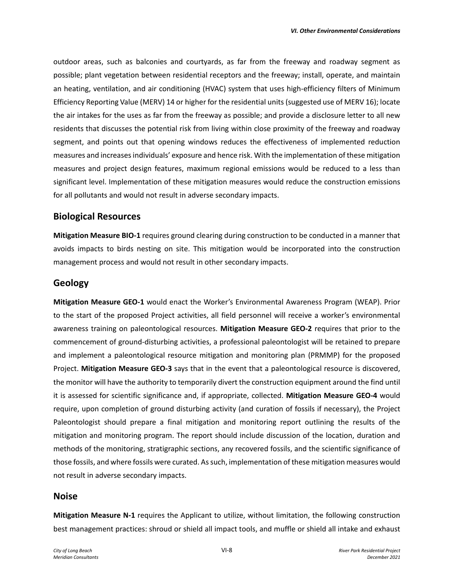outdoor areas, such as balconies and courtyards, as far from the freeway and roadway segment as possible; plant vegetation between residential receptors and the freeway; install, operate, and maintain an heating, ventilation, and air conditioning (HVAC) system that uses high-efficiency filters of Minimum Efficiency Reporting Value (MERV) 14 or higher for the residential units (suggested use of MERV 16); locate the air intakes for the uses as far from the freeway as possible; and provide a disclosure letter to all new residents that discusses the potential risk from living within close proximity of the freeway and roadway segment, and points out that opening windows reduces the effectiveness of implemented reduction measures and increases individuals' exposure and hence risk. With the implementation of these mitigation measures and project design features, maximum regional emissions would be reduced to a less than significant level. Implementation of these mitigation measures would reduce the construction emissions for all pollutants and would not result in adverse secondary impacts.

### **Biological Resources**

**Mitigation Measure BIO-1** requires ground clearing during construction to be conducted in a manner that avoids impacts to birds nesting on site. This mitigation would be incorporated into the construction management process and would not result in other secondary impacts.

### **Geology**

**Mitigation Measure GEO-1** would enact the Worker's Environmental Awareness Program (WEAP). Prior to the start of the proposed Project activities, all field personnel will receive a worker's environmental awareness training on paleontological resources. **Mitigation Measure GEO-2** requires that prior to the commencement of ground-disturbing activities, a professional paleontologist will be retained to prepare and implement a paleontological resource mitigation and monitoring plan (PRMMP) for the proposed Project. **Mitigation Measure GEO-3** says that in the event that a paleontological resource is discovered, the monitor will have the authority to temporarily divert the construction equipment around the find until it is assessed for scientific significance and, if appropriate, collected. **Mitigation Measure GEO-4** would require, upon completion of ground disturbing activity (and curation of fossils if necessary), the Project Paleontologist should prepare a final mitigation and monitoring report outlining the results of the mitigation and monitoring program. The report should include discussion of the location, duration and methods of the monitoring, stratigraphic sections, any recovered fossils, and the scientific significance of those fossils, and where fossils were curated. As such, implementation of these mitigation measures would not result in adverse secondary impacts.

### **Noise**

**Mitigation Measure N-1** requires the Applicant to utilize, without limitation, the following construction best management practices: shroud or shield all impact tools, and muffle or shield all intake and exhaust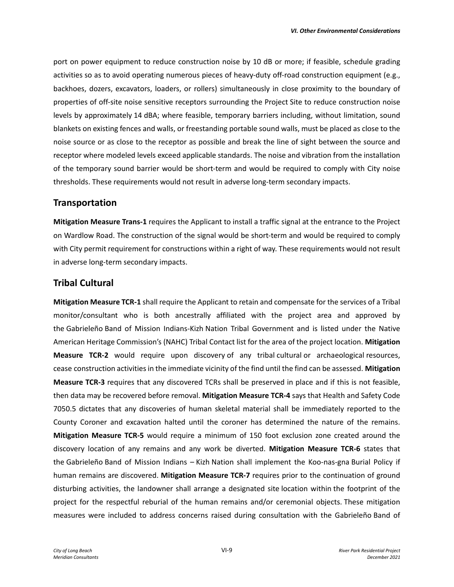port on power equipment to reduce construction noise by 10 dB or more; if feasible, schedule grading activities so as to avoid operating numerous pieces of heavy-duty off-road construction equipment (e.g., backhoes, dozers, excavators, loaders, or rollers) simultaneously in close proximity to the boundary of properties of off-site noise sensitive receptors surrounding the Project Site to reduce construction noise levels by approximately 14 dBA; where feasible, temporary barriers including, without limitation, sound blankets on existing fences and walls, or freestanding portable sound walls, must be placed as close to the noise source or as close to the receptor as possible and break the line of sight between the source and receptor where modeled levels exceed applicable standards. The noise and vibration from the installation of the temporary sound barrier would be short-term and would be required to comply with City noise thresholds. These requirements would not result in adverse long-term secondary impacts.

### **Transportation**

**Mitigation Measure Trans-1** requires the Applicant to install a traffic signal at the entrance to the Project on Wardlow Road. The construction of the signal would be short-term and would be required to comply with City permit requirement for constructions within a right of way. These requirements would not result in adverse long-term secondary impacts.

## **Tribal Cultural**

**Mitigation Measure TCR-1** shall require the Applicant to retain and compensate for the services of a Tribal monitor/consultant who is both ancestrally affiliated with the project area and approved by the Gabrieleño Band of Mission Indians-Kizh Nation Tribal Government and is listed under the Native American Heritage Commission's (NAHC) Tribal Contact list for the area of the project location. **Mitigation Measure TCR-2** would require upon discovery of any tribal cultural or archaeological resources, cease construction activities in the immediate vicinity of the find until the find can be assessed. **Mitigation Measure TCR-3** requires that any discovered TCRs shall be preserved in place and if this is not feasible, then data may be recovered before removal. **Mitigation Measure TCR-4** says that Health and Safety Code 7050.5 dictates that any discoveries of human skeletal material shall be immediately reported to the County Coroner and excavation halted until the coroner has determined the nature of the remains. **Mitigation Measure TCR-5** would require a minimum of 150 foot exclusion zone created around the discovery location of any remains and any work be diverted. **Mitigation Measure TCR-6** states that the Gabrieleño Band of Mission Indians – Kizh Nation shall implement the Koo-nas-gna Burial Policy if human remains are discovered. **Mitigation Measure TCR-7** requires prior to the continuation of ground disturbing activities, the landowner shall arrange a designated site location within the footprint of the project for the respectful reburial of the human remains and/or ceremonial objects. These mitigation measures were included to address concerns raised during consultation with the Gabrieleño Band of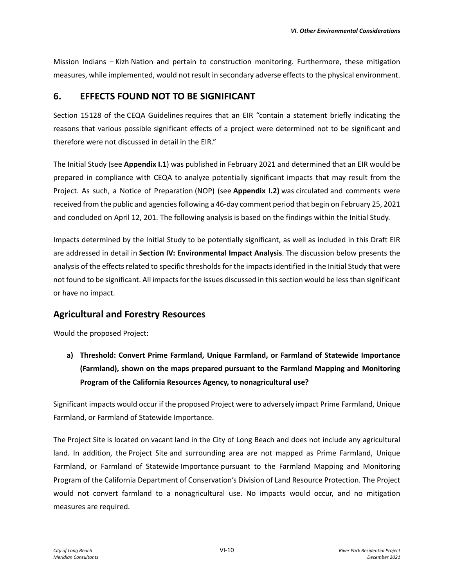Mission Indians – Kizh Nation and pertain to construction monitoring. Furthermore, these mitigation measures, while implemented, would not result in secondary adverse effects to the physical environment.

### **6. EFFECTS FOUND NOT TO BE SIGNIFICANT**

Section 15128 of the CEQA Guidelines requires that an EIR "contain a statement briefly indicating the reasons that various possible significant effects of a project were determined not to be significant and therefore were not discussed in detail in the EIR."

The Initial Study (see **Appendix I.1**) was published in February 2021 and determined that an EIR would be prepared in compliance with CEQA to analyze potentially significant impacts that may result from the Project. As such, a Notice of Preparation (NOP) (see **Appendix I.2)** was circulated and comments were received from the public and agencies following a 46-day comment period that begin on February 25, 2021 and concluded on April 12, 201. The following analysis is based on the findings within the Initial Study.

Impacts determined by the Initial Study to be potentially significant, as well as included in this Draft EIR are addressed in detail in **Section IV: Environmental Impact Analysis**. The discussion below presents the analysis of the effects related to specific thresholds for the impacts identified in the Initial Study that were not found to be significant. All impacts for the issues discussed in this section would be less than significant or have no impact.

## **Agricultural and Forestry Resources**

Would the proposed Project:

**a) Threshold: Convert Prime Farmland, Unique Farmland, or Farmland of Statewide Importance (Farmland), shown on the maps prepared pursuant to the Farmland Mapping and Monitoring Program of the California Resources Agency, to nonagricultural use?** 

Significant impacts would occur if the proposed Project were to adversely impact Prime Farmland, Unique Farmland, or Farmland of Statewide Importance.

The Project Site is located on vacant land in the City of Long Beach and does not include any agricultural land. In addition, the Project Site and surrounding area are not mapped as Prime Farmland, Unique Farmland, or Farmland of Statewide Importance pursuant to the Farmland Mapping and Monitoring Program of the California Department of Conservation's Division of Land Resource Protection. The Project would not convert farmland to a nonagricultural use. No impacts would occur, and no mitigation measures are required.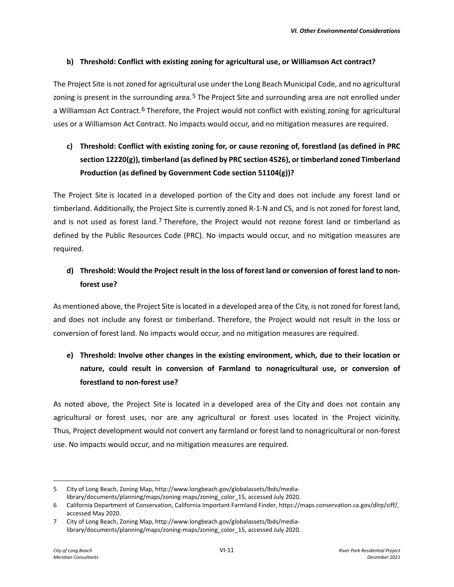#### **b) Threshold: Conflict with existing zoning for agricultural use, or Williamson Act contract?**

The Project Site is not zoned for agricultural use under the Long Beach Municipal Code, and no agricultural zoning is present in the surrounding area.<sup>[5](#page-10-0)</sup> The Project Site and surrounding area are not enrolled under a Williamson Act Contract.[6](#page-10-1) Therefore, the Project would not conflict with existing zoning for agricultural uses or a Williamson Act Contract. No impacts would occur, and no mitigation measures are required.

# **c) Threshold: Conflict with existing zoning for, or cause rezoning of, forestland (as defined in PRC section 12220(g)), timberland (as defined by PRC section 4526), or timberland zoned Timberland Production (as defined by Government Code section 51104(g))?**

The Project Site is located in a developed portion of the City and does not include any forest land or timberland. Additionally, the Project Site is currently zoned R-1-N and CS, and is not zoned for forest land, and is not used as forest land.[7](#page-10-2) Therefore, the Project would not rezone forest land or timberland as defined by the Public Resources Code (PRC). No impacts would occur, and no mitigation measures are required.

# **d) Threshold: Would the Project result in the loss of forest land or conversion of forest land to nonforest use?**

As mentioned above, the Project Site is located in a developed area of the City, is not zoned for forest land, and does not include any forest or timberland. Therefore, the Project would not result in the loss or conversion of forest land. No impacts would occur, and no mitigation measures are required.

# **e) Threshold: Involve other changes in the existing environment, which, due to their location or nature, could result in conversion of Farmland to nonagricultural use, or conversion of forestland to non-forest use?**

As noted above, the Project Site is located in a developed area of the City and does not contain any agricultural or forest uses, nor are any agricultural or forest uses located in the Project vicinity. Thus, Project development would not convert any farmland or forest land to nonagricultural or non-forest use. No impacts would occur, and no mitigation measures are required.

<span id="page-10-0"></span><sup>5</sup> City of Long Beach, Zoning Map, http://www.longbeach.gov/globalassets/lbds/medialibrary/documents/planning/maps/zoning-maps/zoning\_color\_15, accessed July 2020.

<span id="page-10-1"></span><sup>6</sup> California Department of Conservation, California Important Farmland Finder, https://maps.conservation.ca.gov/dlrp/ciff/, accessed May 2020.

<span id="page-10-2"></span><sup>7</sup> City of Long Beach, Zoning Map, http://www.longbeach.gov/globalassets/lbds/medialibrary/documents/planning/maps/zoning-maps/zoning\_color\_15, accessed July 2020.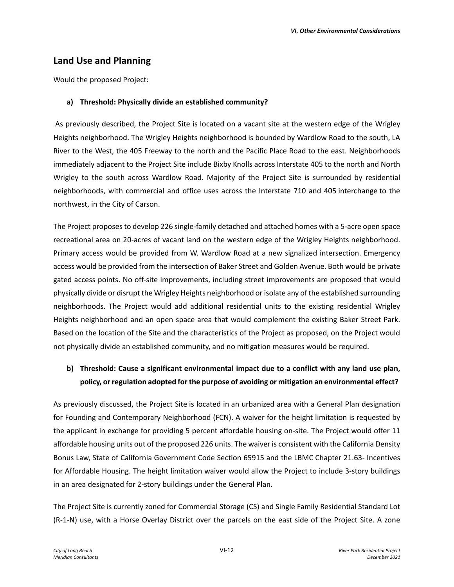## **Land Use and Planning**

Would the proposed Project:

#### **a) Threshold: Physically divide an established community?**

As previously described, the Project Site is located on a vacant site at the western edge of the Wrigley Heights neighborhood. The Wrigley Heights neighborhood is bounded by Wardlow Road to the south, LA River to the West, the 405 Freeway to the north and the Pacific Place Road to the east. Neighborhoods immediately adjacent to the Project Site include Bixby Knolls across Interstate 405 to the north and North Wrigley to the south across Wardlow Road. Majority of the Project Site is surrounded by residential neighborhoods, with commercial and office uses across the Interstate 710 and 405 interchange to the northwest, in the City of Carson.

The Project proposes to develop 226 single-family detached and attached homes with a 5-acre open space recreational area on 20-acres of vacant land on the western edge of the Wrigley Heights neighborhood. Primary access would be provided from W. Wardlow Road at a new signalized intersection. Emergency access would be provided from the intersection of Baker Street and Golden Avenue. Both would be private gated access points. No off-site improvements, including street improvements are proposed that would physically divide or disrupt the Wrigley Heights neighborhood or isolate any of the established surrounding neighborhoods. The Project would add additional residential units to the existing residential Wrigley Heights neighborhood and an open space area that would complement the existing Baker Street Park. Based on the location of the Site and the characteristics of the Project as proposed, on the Project would not physically divide an established community, and no mitigation measures would be required.

# **b) Threshold: Cause a significant environmental impact due to a conflict with any land use plan, policy, or regulation adopted for the purpose of avoiding or mitigation an environmental effect?**

As previously discussed, the Project Site is located in an urbanized area with a General Plan designation for Founding and Contemporary Neighborhood (FCN). A waiver for the height limitation is requested by the applicant in exchange for providing 5 percent affordable housing on-site. The Project would offer 11 affordable housing units out of the proposed 226 units. The waiver is consistent with the California Density Bonus Law, State of California Government Code Section 65915 and the LBMC Chapter 21.63- Incentives for Affordable Housing. The height limitation waiver would allow the Project to include 3-story buildings in an area designated for 2-story buildings under the General Plan.

The Project Site is currently zoned for Commercial Storage (CS) and Single Family Residential Standard Lot (R-1-N) use, with a Horse Overlay District over the parcels on the east side of the Project Site. A zone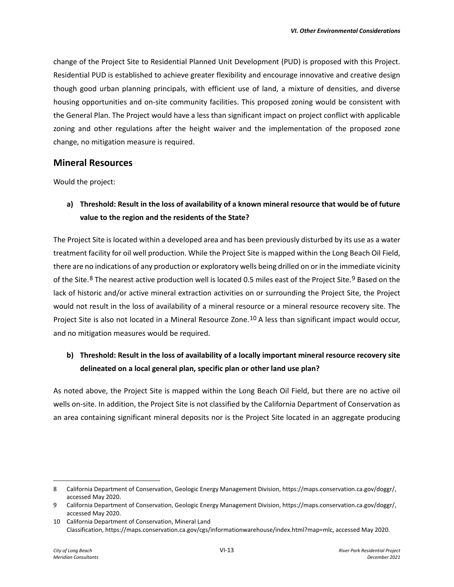change of the Project Site to Residential Planned Unit Development (PUD) is proposed with this Project. Residential PUD is established to achieve greater flexibility and encourage innovative and creative design though good urban planning principals, with efficient use of land, a mixture of densities, and diverse housing opportunities and on-site community facilities. This proposed zoning would be consistent with the General Plan. The Project would have a less than significant impact on project conflict with applicable zoning and other regulations after the height waiver and the implementation of the proposed zone change, no mitigation measure is required.

### **Mineral Resources**

Would the project:

# **a) Threshold: Result in the loss of availability of a known mineral resource that would be of future value to the region and the residents of the State?**

The Project Site is located within a developed area and has been previously disturbed by its use as a water treatment facility for oil well production. While the Project Site is mapped within the Long Beach Oil Field, there are no indications of any production or exploratory wells being drilled on or in the immediate vicinity of the Site.<sup>[8](#page-12-0)</sup> The nearest active production well is located 0.5 miles east of the Project Site.<sup>[9](#page-12-1)</sup> Based on the lack of historic and/or active mineral extraction activities on or surrounding the Project Site, the Project would not result in the loss of availability of a mineral resource or a mineral resource recovery site. The Project Site is also not located in a Mineral Resource Zone.<sup>[10](#page-12-2)</sup> A less than significant impact would occur, and no mitigation measures would be required.

# **b) Threshold: Result in the loss of availability of a locally important mineral resource recovery site delineated on a local general plan, specific plan or other land use plan?**

As noted above, the Project Site is mapped within the Long Beach Oil Field, but there are no active oil wells on-site. In addition, the Project Site is not classified by the California Department of Conservation as an area containing significant mineral deposits nor is the Project Site located in an aggregate producing

<span id="page-12-0"></span><sup>8</sup> California Department of Conservation, Geologic Energy Management Division, https://maps.conservation.ca.gov/doggr/, accessed May 2020.

<span id="page-12-1"></span><sup>9</sup> California Department of Conservation, Geologic Energy Management Division, https://maps.conservation.ca.gov/doggr/, accessed May 2020.

<span id="page-12-2"></span><sup>10</sup> California Department of Conservation, Mineral Land Classification, https://maps.conservation.ca.gov/cgs/informationwarehouse/index.html?map=mlc, accessed May 2020.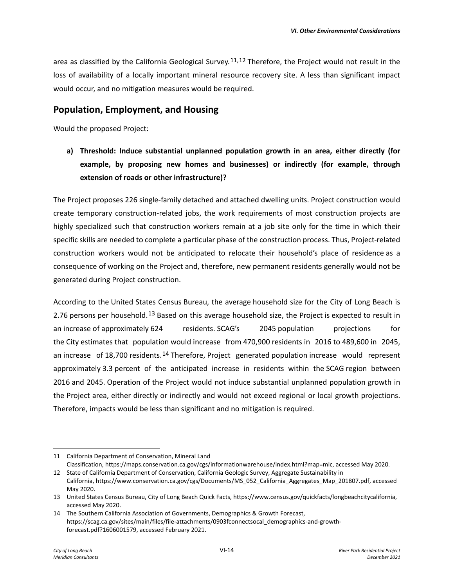area as classified by the California Geological Survey.<sup>[11,](#page-13-0)[12](#page-13-1)</sup> Therefore, the Project would not result in the loss of availability of a locally important mineral resource recovery site. A less than significant impact would occur, and no mitigation measures would be required.

### **Population, Employment, and Housing**

Would the proposed Project:

**a) Threshold: Induce substantial unplanned population growth in an area, either directly (for example, by proposing new homes and businesses) or indirectly (for example, through extension of roads or other infrastructure)?** 

The Project proposes 226 single-family detached and attached dwelling units. Project construction would create temporary construction-related jobs, the work requirements of most construction projects are highly specialized such that construction workers remain at a job site only for the time in which their specific skills are needed to complete a particular phase of the construction process. Thus, Project-related construction workers would not be anticipated to relocate their household's place of residence as a consequence of working on the Project and, therefore, new permanent residents generally would not be generated during Project construction. 

According to the United States Census Bureau, the average household size for the City of Long Beach is 2.76 persons per household.[13](#page-13-2) Based on this average household size, the Project is expected to result in an increase of approximately 624 residents. SCAG's 2045 population projections for the City estimates that population would increase from 470,900 residents in 2016 to 489,600 in 2045, an increase of 18,700 residents.[14](#page-13-3) Therefore, Project generated population increase would represent approximately 3.3 percent of the anticipated increase in residents within the SCAG region between 2016 and 2045. Operation of the Project would not induce substantial unplanned population growth in the Project area, either directly or indirectly and would not exceed regional or local growth projections. Therefore, impacts would be less than significant and no mitigation is required. 

<span id="page-13-0"></span><sup>11</sup> California Department of Conservation, Mineral Land

<span id="page-13-1"></span>Classification, https://maps.conservation.ca.gov/cgs/informationwarehouse/index.html?map=mlc, accessed May 2020. 12 State of California Department of Conservation, California Geologic Survey, Aggregate Sustainability in

California, https://www.conservation.ca.gov/cgs/Documents/MS\_052\_California\_Aggregates\_Map\_201807.pdf, accessed May 2020.

<span id="page-13-2"></span><sup>13</sup> United States Census Bureau, City of Long Beach Quick Facts, https://www.census.gov/quickfacts/longbeachcitycalifornia, accessed May 2020.

<span id="page-13-3"></span><sup>14</sup> The Southern California Association of Governments, Demographics & Growth Forecast, https://scag.ca.gov/sites/main/files/file-attachments/0903fconnectsocal\_demographics-and-growthforecast.pdf?1606001579, accessed February 2021.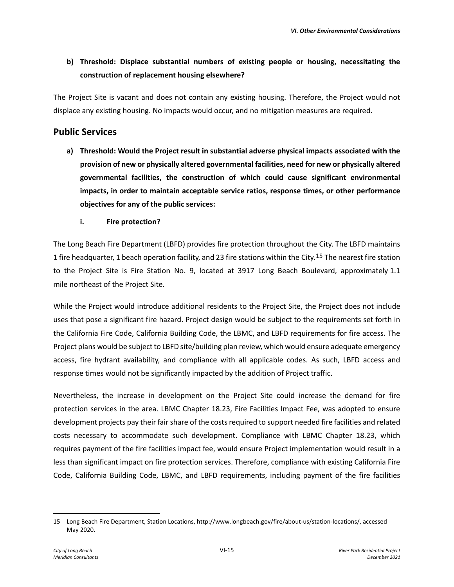# **b) Threshold: Displace substantial numbers of existing people or housing, necessitating the construction of replacement housing elsewhere?**

The Project Site is vacant and does not contain any existing housing. Therefore, the Project would not displace any existing housing. No impacts would occur, and no mitigation measures are required.

### **Public Services**

- **a) Threshold: Would the Project result in substantial adverse physical impacts associated with the provision of new or physically altered governmental facilities, need for new or physically altered governmental facilities, the construction of which could cause significant environmental impacts, in order to maintain acceptable service ratios, response times, or other performance objectives for any of the public services:** 
	- **i. Fire protection?**

The Long Beach Fire Department (LBFD) provides fire protection throughout the City. The LBFD maintains 1 fire headquarter, 1 beach operation facility, and 23 fire stations within the City.<sup>[15](#page-14-0)</sup> The nearest fire station to the Project Site is Fire Station No. 9, located at 3917 Long Beach Boulevard, approximately 1.1 mile northeast of the Project Site.

While the Project would introduce additional residents to the Project Site, the Project does not include uses that pose a significant fire hazard. Project design would be subject to the requirements set forth in the California Fire Code, California Building Code, the LBMC, and LBFD requirements for fire access. The Project plans would be subject to LBFD site/building plan review, which would ensure adequate emergency access, fire hydrant availability, and compliance with all applicable codes. As such, LBFD access and response times would not be significantly impacted by the addition of Project traffic.

Nevertheless, the increase in development on the Project Site could increase the demand for fire protection services in the area. LBMC Chapter 18.23, Fire Facilities Impact Fee, was adopted to ensure development projects pay their fair share of the costs required to support needed fire facilities and related costs necessary to accommodate such development. Compliance with LBMC Chapter 18.23, which requires payment of the fire facilities impact fee, would ensure Project implementation would result in a less than significant impact on fire protection services. Therefore, compliance with existing California Fire Code, California Building Code, LBMC, and LBFD requirements, including payment of the fire facilities

<span id="page-14-0"></span><sup>15</sup> Long Beach Fire Department, Station Locations, http://www.longbeach.gov/fire/about-us/station-locations/, accessed May 2020.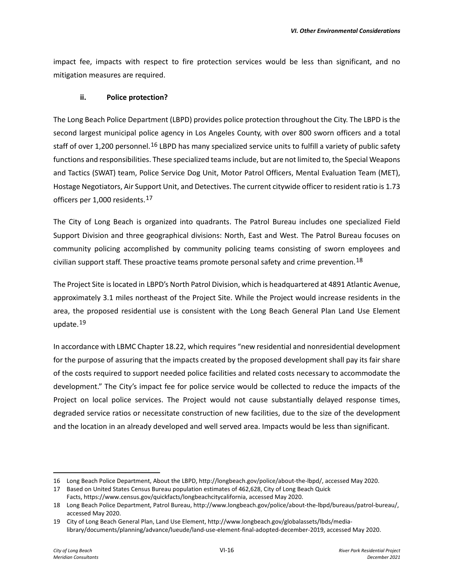impact fee, impacts with respect to fire protection services would be less than significant, and no mitigation measures are required.

#### **ii. Police protection?**

The Long Beach Police Department (LBPD) provides police protection throughout the City. The LBPD is the second largest municipal police agency in Los Angeles County, with over 800 sworn officers and a total staff of over 1,200 personnel.<sup>[16](#page-15-0)</sup> LBPD has many specialized service units to fulfill a variety of public safety functions and responsibilities. These specialized teams include, but are not limited to, the Special Weapons and Tactics (SWAT) team, Police Service Dog Unit, Motor Patrol Officers, Mental Evaluation Team (MET), Hostage Negotiators, Air Support Unit, and Detectives. The current citywide officer to resident ratio is 1.73 officers per 1,000 residents.[17](#page-15-1) 

The City of Long Beach is organized into quadrants. The Patrol Bureau includes one specialized Field Support Division and three geographical divisions: North, East and West. The Patrol Bureau focuses on community policing accomplished by community policing teams consisting of sworn employees and civilian support staff. These proactive teams promote personal safety and crime prevention.<sup>[18](#page-15-2)</sup>

The Project Site is located in LBPD's North Patrol Division, which is headquartered at 4891 Atlantic Avenue, approximately 3.1 miles northeast of the Project Site. While the Project would increase residents in the area, the proposed residential use is consistent with the Long Beach General Plan Land Use Element update.[19](#page-15-3) 

In accordance with LBMC Chapter 18.22, which requires "new residential and nonresidential development for the purpose of assuring that the impacts created by the proposed development shall pay its fair share of the costs required to support needed police facilities and related costs necessary to accommodate the development." The City's impact fee for police service would be collected to reduce the impacts of the Project on local police services. The Project would not cause substantially delayed response times, degraded service ratios or necessitate construction of new facilities, due to the size of the development and the location in an already developed and well served area. Impacts would be less than significant.

<span id="page-15-0"></span><sup>16</sup> Long Beach Police Department, About the LBPD, http://longbeach.gov/police/about-the-lbpd/, accessed May 2020.

<span id="page-15-1"></span><sup>17</sup> Based on United States Census Bureau population estimates of 462,628, City of Long Beach Quick Facts, https://www.census.gov/quickfacts/longbeachcitycalifornia, accessed May 2020.

<span id="page-15-2"></span><sup>18</sup> Long Beach Police Department, Patrol Bureau, http://www.longbeach.gov/police/about-the-lbpd/bureaus/patrol-bureau/, accessed May 2020.

<span id="page-15-3"></span><sup>19</sup> City of Long Beach General Plan, Land Use Element, http://www.longbeach.gov/globalassets/lbds/medialibrary/documents/planning/advance/lueude/land-use-element-final-adopted-december-2019, accessed May 2020.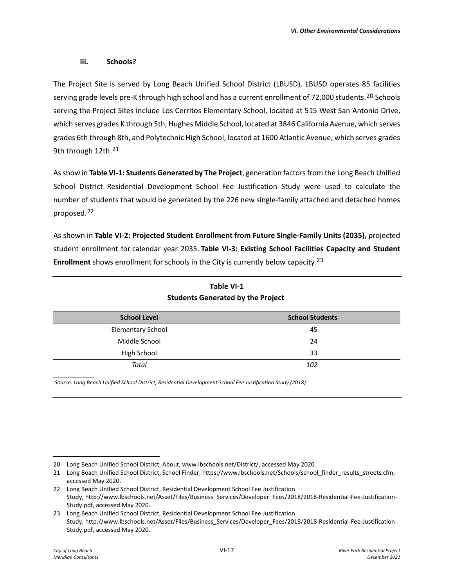#### **iii. Schools?**

The Project Site is served by Long Beach Unified School District (LBUSD). LBUSD operates 85 facilities serving grade levels pre-K through high school and has a current enrollment of 72,000 students.<sup>20</sup> Schools serving the Project Sites include Los Cerritos Elementary School, located at 515 West San Antonio Drive, which serves grades K through 5th, Hughes Middle School, located at 3846 California Avenue, which serves grades 6th through 8th, and Polytechnic High School, located at 1600 Atlantic Avenue, which serves grades 9th through 12th.<sup>21</sup>

As show in **Table VI-1: Students Generated by The Project**, generation factors from the Long Beach Unified School District Residential Development School Fee Justification Study were used to calculate the number of students that would be generated by the 226 new single-family attached and detached homes proposed.[22](#page-16-2) 

As shown in **Table VI-2: Projected Student Enrollment from Future Single-Family Units (2035)**, projected student enrollment for calendar year 2035.**Table VI-3: Existing School Facilities Capacity and Student Enrollment** shows enrollment for schools in the City is currently below capacity.[23](#page-16-3)  

| stadents actionated by the Frageet |                        |  |  |
|------------------------------------|------------------------|--|--|
| <b>School Level</b>                | <b>School Students</b> |  |  |
| <b>Elementary School</b>           | 45                     |  |  |
| Middle School                      | 24                     |  |  |
| High School                        | 33                     |  |  |
| Total                              | 102                    |  |  |

## **Table VI-1 Students Generated by the Project**

*Source: Long Beach Unified School District, Residential Development School Fee Justification Study (2018).*

*\_\_\_\_\_\_\_\_\_\_\_\_\_\_*

<span id="page-16-0"></span><sup>20</sup> Long Beach Unified School District, About, www.lbschools.net/District/, accessed May 2020.

<span id="page-16-1"></span><sup>21</sup> Long Beach Unified School District, School Finder, https://www.lbschools.net/Schools/school\_finder\_results\_streets.cfm, accessed May 2020.

<span id="page-16-2"></span><sup>22</sup> Long Beach Unified School District, Residential Development School Fee Justification Study, http://www.lbschools.net/Asset/Files/Business\_Services/Developer\_Fees/2018/2018-Residential-Fee-Justification-Study.pdf, accessed May 2020.

<span id="page-16-3"></span><sup>23</sup> Long Beach Unified School District, Residential Development School Fee Justification Study, http://www.lbschools.net/Asset/Files/Business\_Services/Developer\_Fees/2018/2018-Residential-Fee-Justification-Study.pdf, accessed May 2020.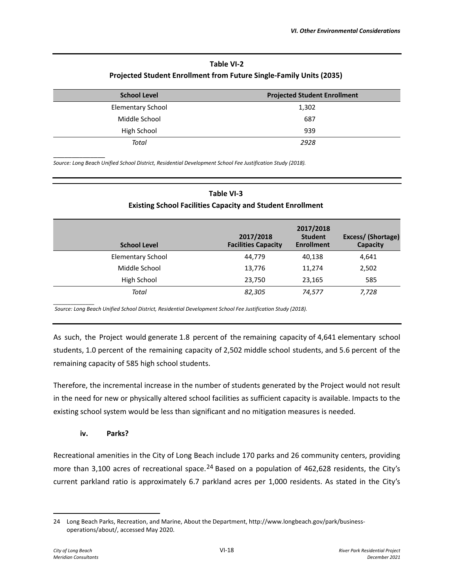### **Table VI-2 Projected Student Enrollment from Future Single-Family Units (2035)**

| <b>School Level</b>      | <b>Projected Student Enrollment</b> |  |  |
|--------------------------|-------------------------------------|--|--|
| <b>Elementary School</b> | 1,302                               |  |  |
| Middle School            | 687                                 |  |  |
| High School              | 939                                 |  |  |
| Total                    | 2928                                |  |  |

*Source: Long Beach Unified School District, Residential Development School Fee Justification Study (2018).* 

| Table VI-3                                                        |
|-------------------------------------------------------------------|
| <b>Existing School Facilities Capacity and Student Enrollment</b> |

| <b>School Level</b>      | 2017/2018<br><b>Facilities Capacity</b> | 2017/2018<br><b>Student</b><br><b>Enrollment</b> | Excess/ (Shortage)<br>Capacity |
|--------------------------|-----------------------------------------|--------------------------------------------------|--------------------------------|
| <b>Elementary School</b> | 44.779                                  | 40,138                                           | 4,641                          |
| Middle School            | 13,776                                  | 11,274                                           | 2,502                          |
| High School              | 23,750                                  | 23,165                                           | 585                            |
| Total                    | 82,305                                  | 74,577                                           | 7,728                          |

*\_\_\_\_\_\_\_\_\_\_\_\_\_\_ Source: Long Beach Unified School District, Residential Development School Fee Justification Study (2018).* 

As such, the Project would generate 1.8 percent of the remaining capacity of 4,641 elementary school students, 1.0 percent of the remaining capacity of 2,502 middle school students, and 5.6 percent of the remaining capacity of 585 high school students. 

Therefore, the incremental increase in the number of students generated by the Project would not result in the need for new or physically altered school facilities as sufficient capacity is available. Impacts to the existing school system would be less than significant and no mitigation measures is needed. 

#### **iv. Parks?**

\_\_\_\_\_\_\_\_\_\_\_\_\_\_

Recreational amenities in the City of Long Beach include 170 parks and 26 community centers, providing more than 3,100 acres of recreational space.<sup>[24](#page-17-0)</sup> Based on a population of 462,628 residents, the City's current parkland ratio is approximately 6.7 parkland acres per 1,000 residents. As stated in the City's

<span id="page-17-0"></span><sup>24</sup> Long Beach Parks, Recreation, and Marine, About the Department, http://www.longbeach.gov/park/businessoperations/about/, accessed May 2020.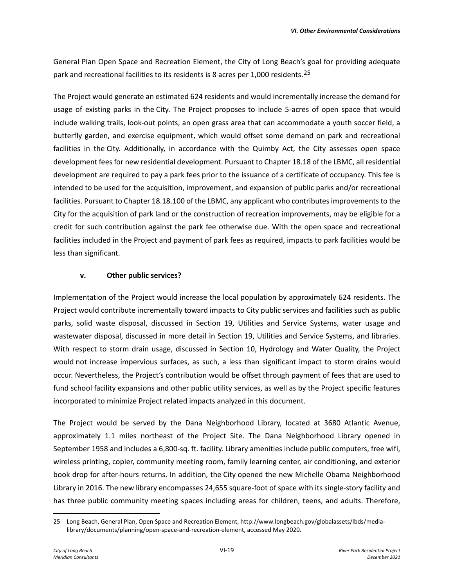General Plan Open Space and Recreation Element, the City of Long Beach's goal for providing adequate park and recreational facilities to its residents is 8 acres per 1,000 residents.<sup>25</sup>

The Project would generate an estimated 624 residents and would incrementally increase the demand for usage of existing parks in the City. The Project proposes to include 5-acres of open space that would include walking trails, look-out points, an open grass area that can accommodate a youth soccer field, a butterfly garden, and exercise equipment, which would offset some demand on park and recreational facilities in the City. Additionally, in accordance with the Quimby Act, the City assesses open space development fees for new residential development. Pursuant to Chapter 18.18 of the LBMC, all residential development are required to pay a park fees prior to the issuance of a certificate of occupancy. This fee is intended to be used for the acquisition, improvement, and expansion of public parks and/or recreational facilities. Pursuant to Chapter 18.18.100 of the LBMC, any applicant who contributes improvements to the City for the acquisition of park land or the construction of recreation improvements, may be eligible for a credit for such contribution against the park fee otherwise due. With the open space and recreational facilities included in the Project and payment of park fees as required, impacts to park facilities would be less than significant.

#### **v. Other public services?**

Implementation of the Project would increase the local population by approximately 624 residents. The Project would contribute incrementally toward impacts to City public services and facilities such as public parks, solid waste disposal, discussed in Section 19, Utilities and Service Systems, water usage and wastewater disposal, discussed in more detail in Section 19, Utilities and Service Systems, and libraries. With respect to storm drain usage, discussed in Section 10, Hydrology and Water Quality, the Project would not increase impervious surfaces, as such, a less than significant impact to storm drains would occur. Nevertheless, the Project's contribution would be offset through payment of fees that are used to fund school facility expansions and other public utility services, as well as by the Project specific features incorporated to minimize Project related impacts analyzed in this document.

The Project would be served by the Dana Neighborhood Library, located at 3680 Atlantic Avenue, approximately 1.1 miles northeast of the Project Site. The Dana Neighborhood Library opened in September 1958 and includes a 6,800-sq. ft. facility. Library amenities include public computers, free wifi, wireless printing, copier, community meeting room, family learning center, air conditioning, and exterior book drop for after-hours returns. In addition, the City opened the new Michelle Obama Neighborhood Library in 2016. The new library encompasses 24,655 square-foot of space with its single-story facility and has three public community meeting spaces including areas for children, teens, and adults. Therefore,

<span id="page-18-0"></span><sup>25</sup> Long Beach, General Plan, Open Space and Recreation Element, http://www.longbeach.gov/globalassets/lbds/medialibrary/documents/planning/open-space-and-recreation-element, accessed May 2020.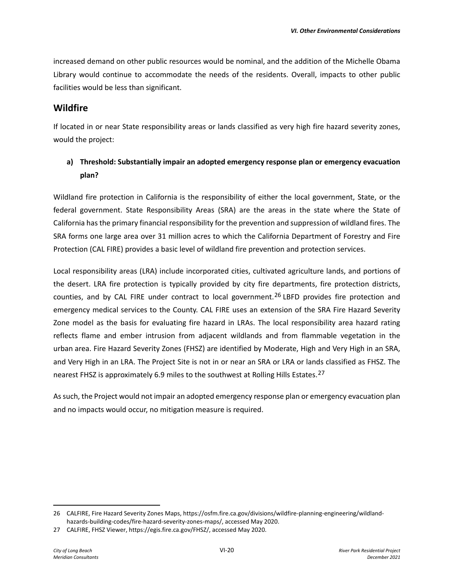increased demand on other public resources would be nominal, and the addition of the Michelle Obama Library would continue to accommodate the needs of the residents. Overall, impacts to other public facilities would be less than significant.

### **Wildfire**

If located in or near State responsibility areas or lands classified as very high fire hazard severity zones, would the project:

# **a) Threshold: Substantially impair an adopted emergency response plan or emergency evacuation plan?**

Wildland fire protection in California is the responsibility of either the local government, State, or the federal government. State Responsibility Areas (SRA) are the areas in the state where the State of California has the primary financial responsibility for the prevention and suppression of wildland fires. The SRA forms one large area over 31 million acres to which the California Department of Forestry and Fire Protection (CAL FIRE) provides a basic level of wildland fire prevention and protection services.

Local responsibility areas (LRA) include incorporated cities, cultivated agriculture lands, and portions of the desert. LRA fire protection is typically provided by city fire departments, fire protection districts, counties, and by CAL FIRE under contract to local government.[26](#page-19-0) LBFD provides fire protection and emergency medical services to the County. CAL FIRE uses an extension of the SRA Fire Hazard Severity Zone model as the basis for evaluating fire hazard in LRAs. The local responsibility area hazard rating reflects flame and ember intrusion from adjacent wildlands and from flammable vegetation in the urban area. Fire Hazard Severity Zones (FHSZ) are identified by Moderate, High and Very High in an SRA, and Very High in an LRA. The Project Site is not in or near an SRA or LRA or lands classified as FHSZ. The nearest FHSZ is approximately 6.9 miles to the southwest at Rolling Hills Estates.[27](#page-19-1)

As such, the Project would not impair an adopted emergency response plan or emergency evacuation plan and no impacts would occur, no mitigation measure is required.

<span id="page-19-0"></span><sup>26</sup> CALFIRE, Fire Hazard Severity Zones Maps, https://osfm.fire.ca.gov/divisions/wildfire-planning-engineering/wildlandhazards-building-codes/fire-hazard-severity-zones-maps/, accessed May 2020.

<span id="page-19-1"></span><sup>27</sup> CALFIRE, FHSZ Viewer, https://egis.fire.ca.gov/FHSZ/, accessed May 2020.